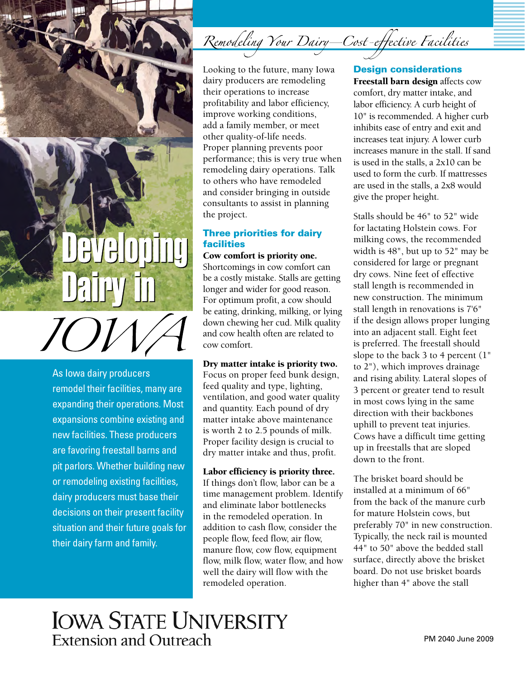

As Iowa dairy producers remodel their facilities, many are expanding their operations. Most expansions combine existing and new facilities. These producers are favoring freestall barns and pit parlors. Whether building new or remodeling existing facilities, dairy producers must base their decisions on their present facility situation and their future goals for their dairy farm and family.

Looking to the future, many Iowa dairy producers are remodeling their operations to increase profitability and labor efficiency, improve working conditions, add a family member, or meet other quality-of-life needs. Proper planning prevents poor performance; this is very true when remodeling dairy operations. Talk to others who have remodeled and consider bringing in outside consultants to assist in planning the project.

### Three priorities for dairy facilities

Cow comfort is priority one.

Shortcomings in cow comfort can be a costly mistake. Stalls are getting longer and wider for good reason. For optimum profit, a cow should be eating, drinking, milking, or lying down chewing her cud. Milk quality and cow health often are related to cow comfort.

Dry matter intake is priority two. Focus on proper feed bunk design, feed quality and type, lighting, ventilation, and good water quality and quantity. Each pound of dry matter intake above maintenance is worth 2 to 2.5 pounds of milk. Proper facility design is crucial to dry matter intake and thus, profit.

Labor efficiency is priority three.

If things don't flow, labor can be a time management problem. Identify and eliminate labor bottlenecks in the remodeled operation. In addition to cash flow, consider the people flow, feed flow, air flow, manure flow, cow flow, equipment flow, milk flow, water flow, and how well the dairy will flow with the remodeled operation.

### Design considerations

Freestall barn design affects cow comfort, dry matter intake, and labor efficiency. A curb height of 10" is recommended. A higher curb inhibits ease of entry and exit and increases teat injury. A lower curb increases manure in the stall. If sand is used in the stalls, a 2x10 can be used to form the curb. If mattresses are used in the stalls, a 2x8 would give the proper height.

Stalls should be 46" to 52" wide for lactating Holstein cows. For milking cows, the recommended width is 48", but up to 52" may be considered for large or pregnant dry cows. Nine feet of effective stall length is recommended in new construction. The minimum stall length in renovations is 7'6" if the design allows proper lunging into an adjacent stall. Eight feet is preferred. The freestall should slope to the back 3 to 4 percent (1" to 2"), which improves drainage and rising ability. Lateral slopes of 3 percent or greater tend to result in most cows lying in the same direction with their backbones uphill to prevent teat injuries. Cows have a difficult time getting up in freestalls that are sloped down to the front.

The brisket board should be installed at a minimum of 66" from the back of the manure curb for mature Holstein cows, but preferably 70" in new construction. Typically, the neck rail is mounted 44" to 50" above the bedded stall surface, directly above the brisket board. Do not use brisket boards higher than 4" above the stall

## **IOWA STATE UNIVERSITY Extension and Outreach**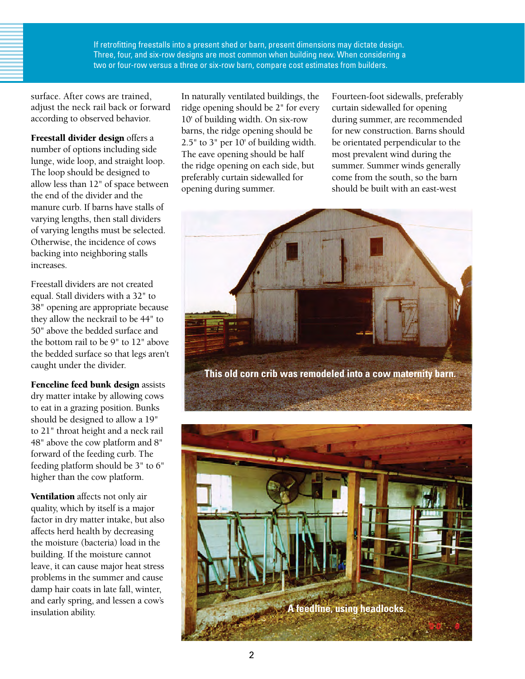If retrofitting freestalls into a present shed or barn, present dimensions may dictate design. Three, four, and six-row designs are most common when building new. When considering a two or four-row versus a three or six-row barn, compare cost estimates from builders.

surface. After cows are trained, adjust the neck rail back or forward according to observed behavior.

Freestall divider design offers a number of options including side lunge, wide loop, and straight loop. The loop should be designed to allow less than 12" of space between the end of the divider and the manure curb. If barns have stalls of varying lengths, then stall dividers of varying lengths must be selected. Otherwise, the incidence of cows backing into neighboring stalls increases.

Freestall dividers are not created equal. Stall dividers with a 32" to 38" opening are appropriate because they allow the neckrail to be 44" to 50" above the bedded surface and the bottom rail to be 9" to 12" above the bedded surface so that legs aren't caught under the divider.

Fenceline feed bunk design assists dry matter intake by allowing cows to eat in a grazing position. Bunks should be designed to allow a 19" to 21" throat height and a neck rail 48" above the cow platform and 8" forward of the feeding curb. The feeding platform should be 3" to 6" higher than the cow platform.

Ventilation affects not only air quality, which by itself is a major factor in dry matter intake, but also affects herd health by decreasing the moisture (bacteria) load in the building. If the moisture cannot leave, it can cause major heat stress problems in the summer and cause damp hair coats in late fall, winter, and early spring, and lessen a cow's insulation ability.

In naturally ventilated buildings, the ridge opening should be 2" for every 10' of building width. On six-row barns, the ridge opening should be 2.5" to 3" per 10' of building width. The eave opening should be half the ridge opening on each side, but preferably curtain sidewalled for opening during summer.

Fourteen-foot sidewalls, preferably curtain sidewalled for opening during summer, are recommended for new construction. Barns should be orientated perpendicular to the most prevalent wind during the summer. Summer winds generally come from the south, so the barn should be built with an east-west



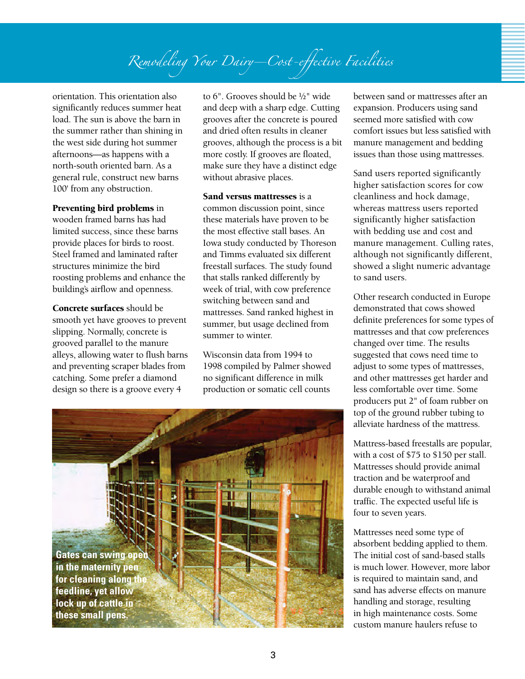# Remodeling Your Dairy-Cost-effective Facilities

orientation. This orientation also significantly reduces summer heat load. The sun is above the barn in the summer rather than shining in the west side during hot summer afternoons—as happens with a north-south oriented barn. As a general rule, construct new barns 100' from any obstruction.

#### Preventing bird problems in

wooden framed barns has had limited success, since these barns provide places for birds to roost. Steel framed and laminated rafter structures minimize the bird roosting problems and enhance the building's airflow and openness.

Concrete surfaces should be smooth yet have grooves to prevent slipping. Normally, concrete is grooved parallel to the manure alleys, allowing water to flush barns and preventing scraper blades from catching. Some prefer a diamond design so there is a groove every 4

to 6". Grooves should be ½" wide and deep with a sharp edge. Cutting grooves after the concrete is poured and dried often results in cleaner grooves, although the process is a bit more costly. If grooves are floated, make sure they have a distinct edge without abrasive places.

Sand versus mattresses is a common discussion point, since these materials have proven to be the most effective stall bases. An Iowa study conducted by Thoreson and Timms evaluated six different freestall surfaces. The study found that stalls ranked differently by week of trial, with cow preference switching between sand and mattresses. Sand ranked highest in summer, but usage declined from summer to winter.

Wisconsin data from 1994 to 1998 compiled by Palmer showed no significant difference in milk production or somatic cell counts



between sand or mattresses after an expansion. Producers using sand seemed more satisfied with cow comfort issues but less satisfied with manure management and bedding issues than those using mattresses.

Sand users reported significantly higher satisfaction scores for cow cleanliness and hock damage, whereas mattress users reported significantly higher satisfaction with bedding use and cost and manure management. Culling rates, although not significantly different, showed a slight numeric advantage to sand users.

Other research conducted in Europe demonstrated that cows showed definite preferences for some types of mattresses and that cow preferences changed over time. The results suggested that cows need time to adjust to some types of mattresses, and other mattresses get harder and less comfortable over time. Some producers put 2" of foam rubber on top of the ground rubber tubing to alleviate hardness of the mattress.

Mattress-based freestalls are popular, with a cost of \$75 to \$150 per stall. Mattresses should provide animal traction and be waterproof and durable enough to withstand animal traffic. The expected useful life is four to seven years.

Mattresses need some type of absorbent bedding applied to them. The initial cost of sand-based stalls is much lower. However, more labor is required to maintain sand, and sand has adverse effects on manure handling and storage, resulting in high maintenance costs. Some custom manure haulers refuse to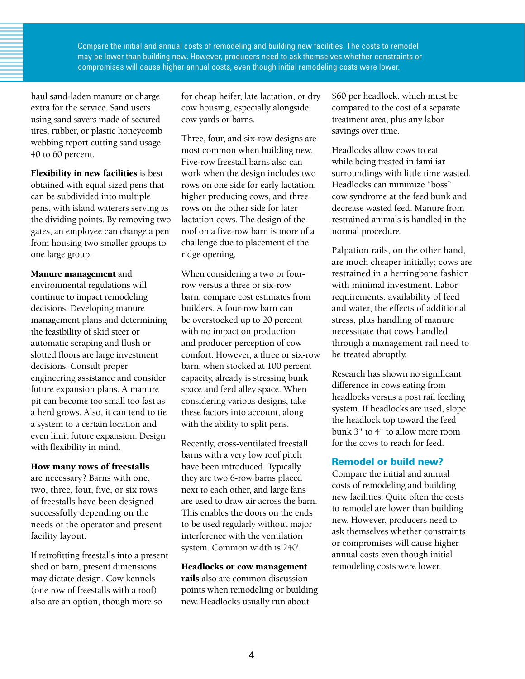Compare the initial and annual costs of remodeling and building new facilities. The costs to remodel may be lower than building new. However, producers need to ask themselves whether constraints or compromises will cause higher annual costs, even though initial remodeling costs were lower.

haul sand-laden manure or charge extra for the service. Sand users using sand savers made of secured tires, rubber, or plastic honeycomb webbing report cutting sand usage 40 to 60 percent.

Flexibility in new facilities is best obtained with equal sized pens that can be subdivided into multiple pens, with island waterers serving as the dividing points. By removing two gates, an employee can change a pen from housing two smaller groups to one large group.

Manure management and environmental regulations will

continue to impact remodeling decisions. Developing manure management plans and determining the feasibility of skid steer or automatic scraping and flush or slotted floors are large investment decisions. Consult proper engineering assistance and consider future expansion plans. A manure pit can become too small too fast as a herd grows. Also, it can tend to tie a system to a certain location and even limit future expansion. Design with flexibility in mind.

#### How many rows of freestalls

are necessary? Barns with one, two, three, four, five, or six rows of freestalls have been designed successfully depending on the needs of the operator and present facility layout.

If retrofitting freestalls into a present shed or barn, present dimensions may dictate design. Cow kennels (one row of freestalls with a roof) also are an option, though more so

for cheap heifer, late lactation, or dry cow housing, especially alongside cow yards or barns.

Three, four, and six-row designs are most common when building new. Five-row freestall barns also can work when the design includes two rows on one side for early lactation, higher producing cows, and three rows on the other side for later lactation cows. The design of the roof on a five-row barn is more of a challenge due to placement of the ridge opening.

When considering a two or fourrow versus a three or six-row barn, compare cost estimates from builders. A four-row barn can be overstocked up to 20 percent with no impact on production and producer perception of cow comfort. However, a three or six-row barn, when stocked at 100 percent capacity, already is stressing bunk space and feed alley space. When considering various designs, take these factors into account, along with the ability to split pens.

Recently, cross-ventilated freestall barns with a very low roof pitch have been introduced. Typically they are two 6-row barns placed next to each other, and large fans are used to draw air across the barn. This enables the doors on the ends to be used regularly without major interference with the ventilation system. Common width is 240'.

#### Headlocks or cow management

rails also are common discussion points when remodeling or building new. Headlocks usually run about

\$60 per headlock, which must be compared to the cost of a separate treatment area, plus any labor savings over time.

Headlocks allow cows to eat while being treated in familiar surroundings with little time wasted. Headlocks can minimize "boss" cow syndrome at the feed bunk and decrease wasted feed. Manure from restrained animals is handled in the normal procedure.

Palpation rails, on the other hand, are much cheaper initially; cows are restrained in a herringbone fashion with minimal investment. Labor requirements, availability of feed and water, the effects of additional stress, plus handling of manure necessitate that cows handled through a management rail need to be treated abruptly.

Research has shown no significant difference in cows eating from headlocks versus a post rail feeding system. If headlocks are used, slope the headlock top toward the feed bunk 3" to 4" to allow more room for the cows to reach for feed.

#### Remodel or build new?

Compare the initial and annual costs of remodeling and building new facilities. Quite often the costs to remodel are lower than building new. However, producers need to ask themselves whether constraints or compromises will cause higher annual costs even though initial remodeling costs were lower.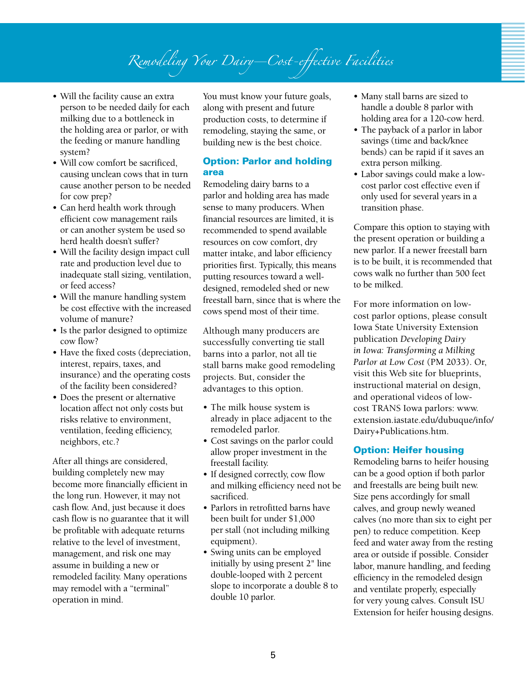# Remodeling Your Dairy-Cost-effective Facilities

- Will the facility cause an extra person to be needed daily for each milking due to a bottleneck in the holding area or parlor, or with the feeding or manure handling system?
- Will cow comfort be sacrificed. causing unclean cows that in turn cause another person to be needed for cow prep?
- Can herd health work through efficient cow management rails or can another system be used so herd health doesn't suffer?
- Will the facility design impact cull rate and production level due to inadequate stall sizing, ventilation, or feed access?
- Will the manure handling system be cost effective with the increased volume of manure?
- Is the parlor designed to optimize cow flow?
- Have the fixed costs (depreciation, interest, repairs, taxes, and insurance) and the operating costs of the facility been considered?
- Does the present or alternative location affect not only costs but risks relative to environment, ventilation, feeding efficiency, neighbors, etc.?

After all things are considered, building completely new may become more financially efficient in the long run. However, it may not cash flow. And, just because it does cash flow is no guarantee that it will be profitable with adequate returns relative to the level of investment, management, and risk one may assume in building a new or remodeled facility. Many operations may remodel with a "terminal" operation in mind.

You must know your future goals, along with present and future production costs, to determine if remodeling, staying the same, or building new is the best choice.

#### Option: Parlor and holding area

Remodeling dairy barns to a parlor and holding area has made sense to many producers. When financial resources are limited, it is recommended to spend available resources on cow comfort, dry matter intake, and labor efficiency priorities first. Typically, this means putting resources toward a welldesigned, remodeled shed or new freestall barn, since that is where the cows spend most of their time.

Although many producers are successfully converting tie stall barns into a parlor, not all tie stall barns make good remodeling projects. But, consider the advantages to this option.

- The milk house system is already in place adjacent to the remodeled parlor.
- Cost savings on the parlor could allow proper investment in the freestall facility.
- If designed correctly, cow flow and milking efficiency need not be sacrificed.
- Parlors in retrofitted barns have been built for under \$1,000 per stall (not including milking equipment).
- Swing units can be employed initially by using present 2" line double-looped with 2 percent slope to incorporate a double 8 to double 10 parlor.
- Many stall barns are sized to handle a double 8 parlor with holding area for a 120-cow herd.
- The payback of a parlor in labor savings (time and back/knee bends) can be rapid if it saves an extra person milking.
- Labor savings could make a lowcost parlor cost effective even if only used for several years in a transition phase.

Compare this option to staying with the present operation or building a new parlor. If a newer freestall barn is to be built, it is recommended that cows walk no further than 500 feet to be milked.

For more information on lowcost parlor options, please consult Iowa State University Extension publication *Developing Dairy in Iowa: Transforming a Milking Parlor at Low Cost* (PM 2033). Or, visit this Web site for blueprints, instructional material on design, and operational videos of lowcost TRANS Iowa parlors: www. extension.iastate.edu/dubuque/info/ Dairy+Publications.htm.

#### Option: Heifer housing

Remodeling barns to heifer housing can be a good option if both parlor and freestalls are being built new. Size pens accordingly for small calves, and group newly weaned calves (no more than six to eight per pen) to reduce competition. Keep feed and water away from the resting area or outside if possible. Consider labor, manure handling, and feeding efficiency in the remodeled design and ventilate properly, especially for very young calves. Consult ISU Extension for heifer housing designs.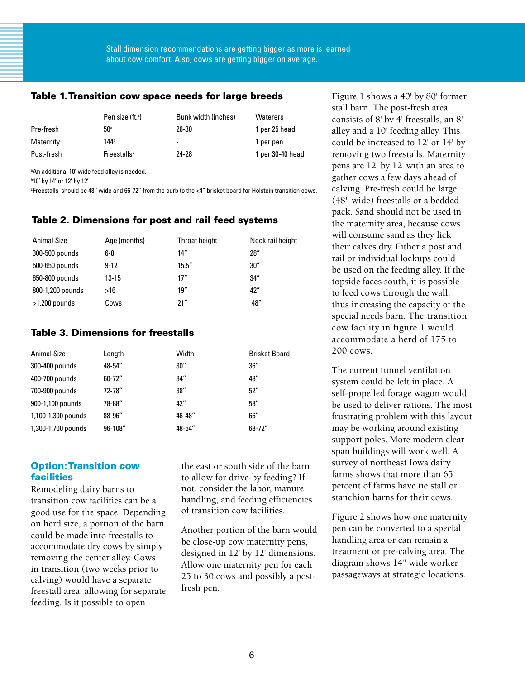#### Table 1. Transition cow space needs for large breeds

|            | Pen size (ft. <sup>2</sup> ) | Bunk width (inches) | <b>Waterers</b>  |
|------------|------------------------------|---------------------|------------------|
| Pre-fresh  | 50 <sup>a</sup>              | 26-30               | 1 per 25 head    |
| Maternity  | 144 <sup>b</sup>             | ۰                   | 1 per pen        |
| Post-fresh | Freestalls <sup>c</sup>      | 24-28               | 1 per 30-40 head |

a An additional 10' wide feed alley is needed.

b 10' by 14' or 12' by 12'

c Freestalls should be 48" wide and 66-72" from the curb to the <4" brisket board for Holstein transition cows.

#### Table 2. Dimensions for post and rail feed systems

| <b>Animal Size</b> | Age (months) | Throat height | Neck rail height |
|--------------------|--------------|---------------|------------------|
| 300-500 pounds     | 6-8          | 14"           | 28″              |
| 500-650 pounds     | $9-12$       | 15.5''        | 30''             |
| 650-800 pounds     | $13 - 15$    | 17"           | 34''             |
| 800-1,200 pounds   | >16          | 19''          | 42"              |
| $>1,200$ pounds    | Cows         | 21"           | 48"              |

#### Table 3. Dimensions for freestalls

| <b>Animal Size</b> | Length     | Width  | <b>Brisket Board</b> |
|--------------------|------------|--------|----------------------|
| 300-400 pounds     | 48-54"     | 30''   | 36''                 |
| 400-700 pounds     | $60 - 72"$ | 34''   | 48"                  |
| 700-900 pounds     | 72-78"     | 38''   | 52"                  |
| 900-1,100 pounds   | 78-88"     | 42"    | 58"                  |
| 1,100-1,300 pounds | 88-96"     | 46-48" | 66"                  |
| 1,300-1,700 pounds | 96-108"    | 48-54" | 68-72"               |

#### Option: Transition cow facilities

Remodeling dairy barns to transition cow facilities can be a good use for the space. Depending on herd size, a portion of the barn could be made into freestalls to accommodate dry cows by simply removing the center alley. Cows in transition (two weeks prior to calving) would have a separate freestall area, allowing for separate feeding. Is it possible to open

the east or south side of the barn to allow for drive-by feeding? If not, consider the labor, manure handling, and feeding efficiencies of transition cow facilities.

Another portion of the barn would be close-up cow maternity pens, designed in 12' by 12' dimensions. Allow one maternity pen for each 25 to 30 cows and possibly a postfresh pen.

Figure 1 shows a 40' by 80' former stall barn. The post-fresh area consists of 8' by 4' freestalls, an 8' alley and a 10' feeding alley. This could be increased to 12' or 14' by removing two freestalls. Maternity pens are 12' by 12' with an area to gather cows a few days ahead of calving. Pre-fresh could be large (48" wide) freestalls or a bedded pack. Sand should not be used in the maternity area, because cows will consume sand as they lick their calves dry. Either a post and rail or individual lockups could be used on the feeding alley. If the topside faces south, it is possible to feed cows through the wall, thus increasing the capacity of the special needs barn. The transition cow facility in figure 1 would accommodate a herd of 175 to 200 cows.

The current tunnel ventilation system could be left in place. A self-propelled forage wagon would be used to deliver rations. The most frustrating problem with this layout may be working around existing support poles. More modern clear span buildings will work well. A survey of northeast Iowa dairy farms shows that more than 65 percent of farms have tie stall or stanchion barns for their cows.

Figure 2 shows how one maternity pen can be converted to a special handling area or can remain a treatment or pre-calving area. The diagram shows 14" wide worker passageways at strategic locations.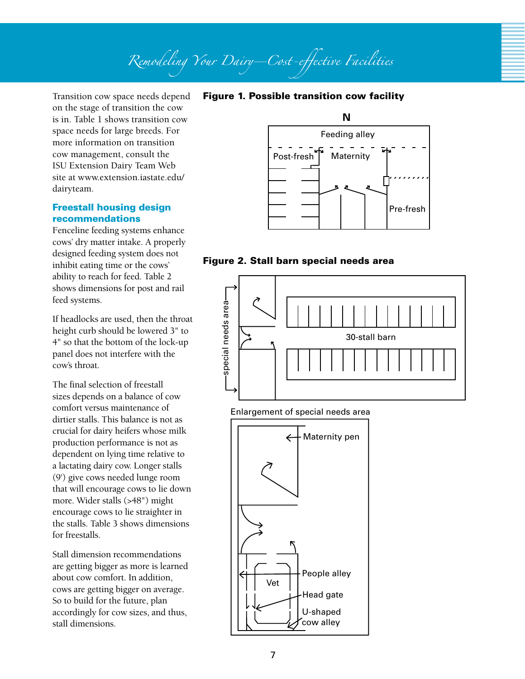# Remodeling Your Dairy-Cost-effective Facilities

Transition cow space needs depend on the stage of transition the cow is in. Table 1 shows transition cow space needs for large breeds. For more information on transition cow management, consult the ISU Extension Dairy Team Web site at www.extension.iastate.edu/ dairyteam.

#### Freestall housing design recommendations

Fenceline feeding systems enhance cows' dry matter intake. A properly designed feeding system does not inhibit eating time or the cows' ability to reach for feed. Table 2 shows dimensions for post and rail feed systems.

If headlocks are used, then the throat height curb should be lowered 3" to 4" so that the bottom of the lock-up panel does not interfere with the cow's throat.

The final selection of freestall sizes depends on a balance of cow comfort versus maintenance of dirtier stalls. This balance is not as crucial for dairy heifers whose milk production performance is not as dependent on lying time relative to a lactating dairy cow. Longer stalls (9') give cows needed lunge room that will encourage cows to lie down more. Wider stalls (>48") might encourage cows to lie straighter in the stalls. Table 3 shows dimensions for freestalls.

Stall dimension recommendations are getting bigger as more is learned about cow comfort. In addition, cows are getting bigger on average. So to build for the future, plan accordingly for cow sizes, and thus, stall dimensions.



#### Figure 2. Stall barn special needs area



Enlargement of special needs area



### Figure 1. Possible transition cow facility